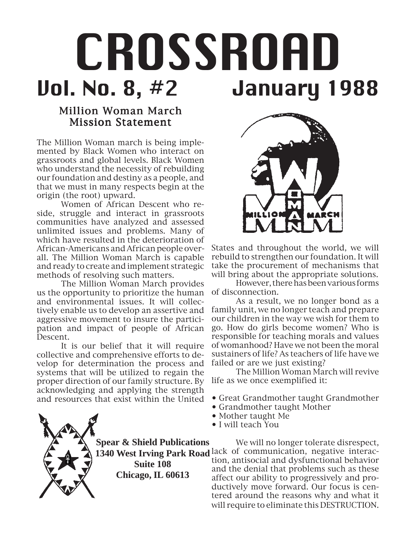# CROSSROAD<br>No. 8, #2 January 1988 **Vol. No. 8,**  $#2$

# Million Woman March **Mission Statement**

The Million Woman march is being implemented by Black Women who interact on grassroots and global levels. Black Women who understand the necessity of rebuilding our foundation and destiny as a people, and that we must in many respects begin at the origin (the root) upward.

Women of African Descent who reside, struggle and interact in grassroots communities have analyzed and assessed unlimited issues and problems. Many of which have resulted in the deterioration of African-Americans and African people overall. The Million Woman March is capable and ready to create and implement strategic methods of resolving such matters.

The Million Woman March provides us the opportunity to prioritize the human and environmental issues. It will collectively enable us to develop an assertive and aggressive movement to insure the participation and impact of people of African Descent.

It is our belief that it will require collective and comprehensive efforts to develop for determination the process and systems that will be utilized to regain the proper direction of our family structure. By acknowledging and applying the strength and resources that exist within the United

> **Suite 108 Chicago, IL 60613**



States and throughout the world, we will rebuild to strengthen our foundation. It will take the procurement of mechanisms that will bring about the appropriate solutions.

However, there has been various forms of disconnection.

As a result, we no longer bond as a family unit, we no longer teach and prepare our children in the way we wish for them to go. How do girls become women? Who is responsible for teaching morals and values of womanhood? Have we not been the moral sustainers of life? As teachers of life have we failed or are we just existing?

The Million Woman March will revive life as we once exemplified it:

- Great Grandmother taught Grandmother
- Grandmother taught Mother
- Mother taught Me
- I will teach You

**Spear & Shield Publications 1340 West Irving Park Road** lack of communication, negative interac-We will no longer tolerate disrespect, tion, antisocial and dysfunctional behavior and the denial that problems such as these affect our ability to progressively and productively move forward. Our focus is centered around the reasons why and what it will require to eliminate this DESTRUCTION.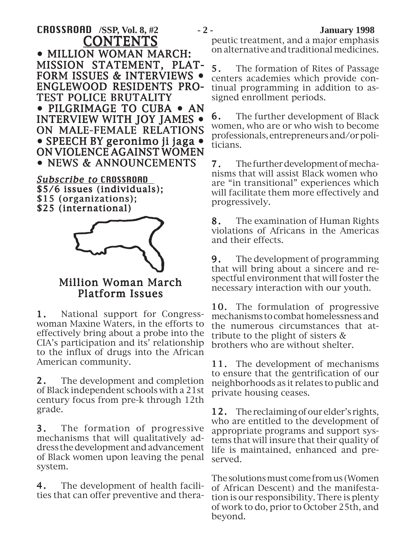• MILLION WOMAN MARCH: MISSION STATEMENT, PLAT-FORM ISSUES & INTERVIEWS . ENGLEWOOD RESIDENTS PRO-TEST POLICE BRUTALITY

• PILGRIMAGE TO CUBA • AN INTERVIEW WITH JOY JAMES • ON MALE-FEMALE RELATIONS • SPEECH BY geronimo ji jaga • ON VIOLENCE AGAINST WOMEN • NEWS & ANNOUNCEMENTS

Subscribe to CROSSROAD \$5/6 issues (individuals); \$15 (organizations); \$25 (international)



Million Woman March Platform Issues

1. National support for Congresswoman Maxine Waters, in the efforts to effectively bring about a probe into the CIA's participation and its' relationship to the influx of drugs into the African American community.

2. The development and completion of Black independent schools with a 21st century focus from pre-k through 12th grade.

**3.** The formation of progressive mechanisms that will qualitatively address the development and advancement of Black women upon leaving the penal system.

4. The development of health facilities that can offer preventive and thera-

peutic treatment, and a major emphasis on alternative and traditional medicines.

**5.** The formation of Rites of Passage centers academies which provide continual programming in addition to assigned enrollment periods.

**6.** The further development of Black women, who are or who wish to become professionals, entrepreneurs and/or politicians.

7. The further development of mechanisms that will assist Black women who are "in transitional" experiences which will facilitate them more effectively and progressively.

8. The examination of Human Rights violations of Africans in the Americas and their effects.

**9.** The development of programming that will bring about a sincere and respectful environment that will foster the necessary interaction with our youth.

10. The formulation of progressive mechanisms to combat homelessness and the numerous circumstances that attribute to the plight of sisters & brothers who are without shelter.

11. The development of mechanisms to ensure that the gentrification of our neighborhoods as it relates to public and private housing ceases.

12. The reclaiming of our elder's rights, who are entitled to the development of appropriate programs and support systems that will insure that their quality of life is maintained, enhanced and preserved.

The solutions must come from us (Women of African Descent) and the manifestation is our responsibility. There is plenty of work to do, prior to October 25th, and beyond.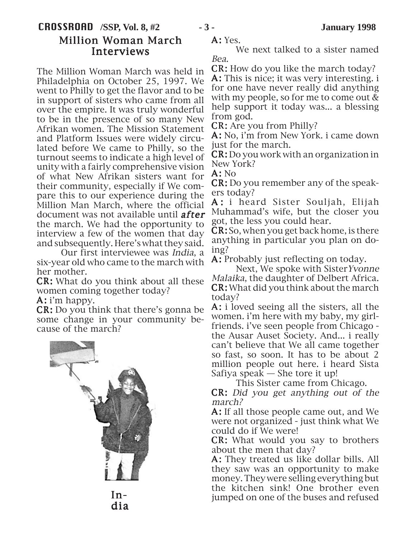# CROSSROAD **/SSP, Vol. 8, #2 - 3 - January 1998** Million Woman March Interviews

The Million Woman March was held in Philadelphia on October 25, 1997. We went to Philly to get the flavor and to be in support of sisters who came from all over the empire. It was truly wonderful to be in the presence of so many New Afrikan women. The Mission Statement and Platform Issues were widely circulated before We came to Philly, so the turnout seems to indicate a high level of unity with a fairly comprehensive vision of what New Afrikan sisters want for their community, especially if We compare this to our experience during the Million Man March, where the official document was not available until after the march. We had the opportunity to interview a few of the women that day and subsequently. Here's what they said.

Our first interviewee was India, a six-year old who came to the march with her mother.

**CR:** What do you think about all these women coming together today?

 $A$ : i'm happy.

**CR:** Do you think that there's gonna be some change in your community because of the march?



dia

 $A$ : Yes.

We next talked to a sister named Bea.

**CR:** How do you like the march today? A: This is nice; it was very interesting. i for one have never really did anything with my people, so for me to come out & help support it today was... a blessing from god.

**CR:** Are you from Philly?

A: No, i'm from New York. i came down just for the march.

 $CR:$  Do you work with an organization in New York?

 $A: No$ 

**CR:** Do you remember any of the speakers today?

A: i heard Sister Souljah, Elijah Muhammad's wife, but the closer you got, the less you could hear.

 $CR:$  So, when you get back home, is there anything in particular you plan on doing?

A: Probably just reflecting on today.

Next, We spoke with Sister Yvonne Malaika, the daughter of Delbert Africa. CR: What did you think about the march CR: today?

 $A$ : i loved seeing all the sisters, all the women. i'm here with my baby, my girlfriends. i've seen people from Chicago the Ausar Auset Society. And... i really can't believe that We all came together so fast, so soon. It has to be about 2 million people out here. i heard Sista Safiya speak — She tore it up!

This Sister came from Chicago.

CR: Did you get anything out of the march?

A: If all those people came out, and We were not organized - just think what We could do if We were!

**CR:** What would you say to brothers about the men that day?

A: They treated us like dollar bills. All they saw was an opportunity to make money. They were selling everything but the kitchen sink! One brother even In- jumped on one of the buses and refused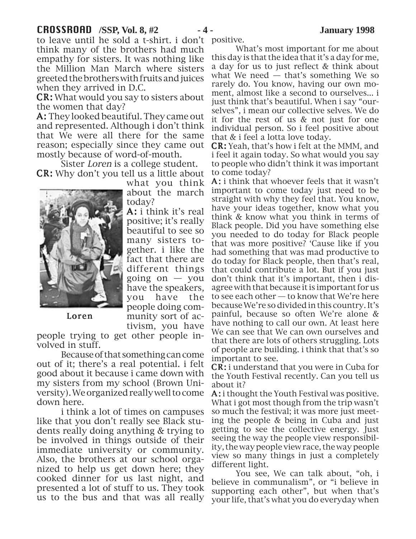to leave until he sold a t-shirt. i don't positive. think many of the brothers had much empathy for sisters. It was nothing like the Million Man March where sisters greeted the brothers with fruits and juices when they arrived in D.C.

**CR:** What would you say to sisters about the women that day?

A: They looked beautiful. They came out and represented. Although i don't think that We were all there for the same reason; especially since they came out mostly because of word-of-mouth.

Sister Loren is a college student. **CR:** Why don't you tell us a little about what you think



Loren

tivism, you have people trying to get other people involved in stuff.

munity sort of ac-

Because of that something can come out of it; there's a real potential. i felt good about it because i came down with my sisters from my school (Brown University). We organized really well to come down here.

i think a lot of times on campuses like that you don't really see Black students really doing anything & trying to be involved in things outside of their immediate university or community. Also, the brothers at our school organized to help us get down here; they cooked dinner for us last night, and presented a lot of stuff to us. They took us to the bus and that was all really

What's most important for me about this day is that the idea that it's a day for me, a day for us to just reflect & think about what We need  $-$  that's something We so rarely do. You know, having our own moment, almost like a second to ourselves... i just think that's beautiful. When i say "ourselves", i mean our collective selves. We do it for the rest of us & not just for one individual person. So i feel positive about that & i feel a lotta love today.

CR: Yeah, that's how i felt at the MMM, and CR: i feel it again today. So what would you say to people who didn't think it was important to come today?

A: i think that whoever feels that it wasn't important to come today just need to be straight with why they feel that. You know, have your ideas together, know what you think & know what you think in terms of Black people. Did you have something else you needed to do today for Black people that was more positive? 'Cause like if you had something that was mad productive to do today for Black people, then that's real, that could contribute a lot. But if you just don't think that it's important, then i disagree with that because it is important for us to see each other — to know that We're here because We're so divided in this country. It's painful, because so often We're alone & have nothing to call our own. At least here We can see that We can own ourselves and that there are lots of others struggling. Lots of people are building. i think that that's so important to see.

**CR:** i understand that you were in Cuba for the Youth Festival recently. Can you tell us about it?

A: i thought the Youth Festival was positive. What i got most though from the trip wasn't so much the festival; it was more just meeting the people & being in Cuba and just getting to see the collective energy. Just seeing the way the people view responsibility, the way people view race, the way people view so many things in just a completely different light.

You see, We can talk about, "oh, i believe in communalism", or "i believe in supporting each other", but when that's your life, that's what you do everyday when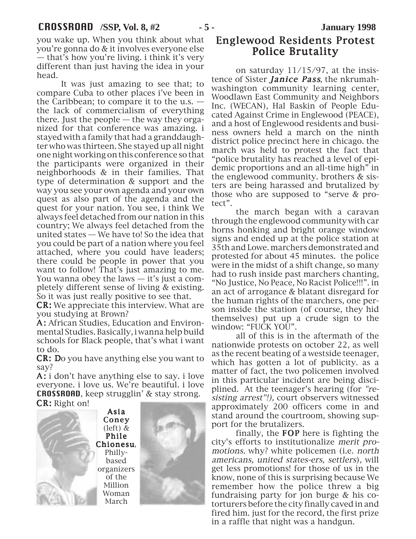you wake up. When you think about what you're gonna do & it involves everyone else — that's how you're living. i think it's very different than just having the idea in your head.

It was just amazing to see that; to compare Cuba to other places i've been in the Caribbean; to compare it to the  $u.s.$   $$ the lack of commercialism of everything there. Just the people — the way they organized for that conference was amazing. i stayed with a family that had a granddaughter who was thirteen. She stayed up all night one night working on this conference so that the participants were organized in their neighborhoods & in their families. That type of determination & support and the way you see your own agenda and your own quest as also part of the agenda and the quest for your nation. You see, i think We always feel detached from our nation in this country; We always feel detached from the united states — We have to! So the idea that you could be part of a nation where you feel attached, where you could have leaders; there could be people in power that you want to follow! That's just amazing to me. You wanna obey the laws — it's just a completely different sense of living & existing. So it was just really positive to see that.

**CR:** We appreciate this interview. What are you studying at Brown?

A: African Studies, Education and Environmental Studies. Basically, i wanna help build schools for Black people, that's what i want to do.

CR: Do you have anything else you want to say?

A: i don't have anything else to say. i love everyone. i love us. We're beautiful. i love CROSSROAD, keep strugglin' & stay strong.



# Englewood Residents Protest Police Brutality

on saturday 11/15/97, at the insistence of Sister **Janice Pass**, the nkrumahwashington community learning center, Woodlawn East Community and Neighbors Inc. (WECAN), Hal Baskin of People Educated Against Crime in Englewood (PEACE), and a host of Englewood residents and business owners held a march on the ninth district police precinct here in chicago. the march was held to protest the fact that "police brutality has reached a level of epidemic proportions and an all-time high" in the englewood community. brothers & sisters are being harassed and brutalized by those who are supposed to "serve & protect".

the march began with a caravan through the englewood community with car horns honking and bright orange window signs and ended up at the police station at 35th and Lowe. marchers demonstrated and protested for about 45 minutes. the police were in the midst of a shift change, so many had to rush inside past marchers chanting, "No Justice, No Peace, No Racist Police!!!". in an act of arrogance & blatant disregard for the human rights of the marchers, one person inside the station (of course, they hid themselves) put up a crude sign to the window: "FUCK YOU".

all of this is in the aftermath of the nationwide protests on october 22, as well as the recent beating of a westside teenager, which has gotten a lot of publicity. as a matter of fact, the two policemen involved in this particular incident are being disciplined. At the teenager's hearing (for "resisting arrest"!), court observers witnessed approximately 200 officers come in and stand around the courtroom, showing support for the brutalizers.

finally, the  $FOP$  here is fighting the city's efforts to institutionalize merit promotions. why? white policemen (i.e. *north*) americans, united states-ers, settlers), will get less promotions! for those of us in the know, none of this is surprising because We remember how the police threw a big fundraising party for jon burge & his cotorturers before the city finally caved in and fired him. just for the record, the first prize in a raffle that night was a handgun.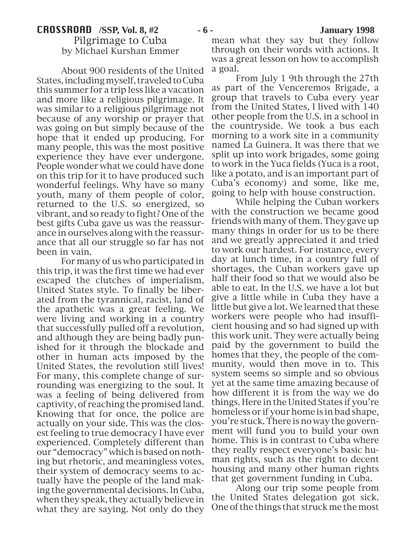## CROSSROAD **/SSP, Vol. 8, #2 - 6 - January 1998** Pilgrimage to Cuba by Michael Kurshan Emmer

About 900 residents of the United States, including myself, traveled to Cuba this summer for a trip less like a vacation and more like a religious pilgrimage. It was similar to a religious pilgrimage not because of any worship or prayer that was going on but simply because of the hope that it ended up producing. For many people, this was the most positive experience they have ever undergone. People wonder what we could have done on this trip for it to have produced such wonderful feelings. Why have so many youth, many of them people of color, returned to the U.S. so energized, so vibrant, and so ready to fight? One of the best gifts Cuba gave us was the reassurance in ourselves along with the reassurance that all our struggle so far has not been in vain.

For many of us who participated in this trip, it was the first time we had ever escaped the clutches of imperialism, United States style. To finally be liberated from the tyrannical, racist, land of the apathetic was a great feeling. We were living and working in a country that successfully pulled off a revolution, and although they are being badly punished for it through the blockade and other in human acts imposed by the United States, the revolution still lives! For many, this complete change of surrounding was energizing to the soul. It was a feeling of being delivered from captivity, of reaching the promised land. Knowing that for once, the police are actually on your side. This was the closest feeling to true democracy I have ever experienced. Completely different than our "democracy" which is based on nothing but rhetoric, and meaningless votes, their system of democracy seems to actually have the people of the land making the governmental decisions. ln Cuba, when they speak, they actually believe in what they are saying. Not only do they

mean what they say but they follow through on their words with actions. It was a great lesson on how to accomplish a goal.

From July 1 9th through the 27th as part of the Venceremos Brigade, a group that travels to Cuba every year from the United States, I lived with 140 other people from the U.S. in a school in the countryside. We took a bus each morning to a work site in a community named La Guinera. It was there that we split up into work brigades, some going to work in the Yuca fields (Yuca is a root, like a potato, and is an important part of Cuba's economy) and some, like me, going to help with house construction.

While helping the Cuban workers with the construction we became good friends with many of them. They gave up many things in order for us to be there and we greatly appreciated it and tried to work our hardest. For instance, every day at lunch time, in a country full of shortages, the Cuban workers gave up half their food so that we would also be able to eat. In the U.S. we have a lot but give a little while in Cuba they have a little but give a lot. We learned that these workers were people who had insufficient housing and so had signed up with this work unit. They were actually being paid by the government to build the homes that they, the people of the community, would then move in to. This system seems so simple and so obvious yet at the same time amazing because of how different it is from the way we do things. Here in the United States if you're homeless or if your home is in bad shape, you're stuck. There is no way the government will fund you to build your own home. This is in contrast to Cuba where they really respect everyone's basic human rights, such as the right to decent housing and many other human rights that get government funding in Cuba.

Along our trip some people from the United States delegation got sick. One of the things that struck me the most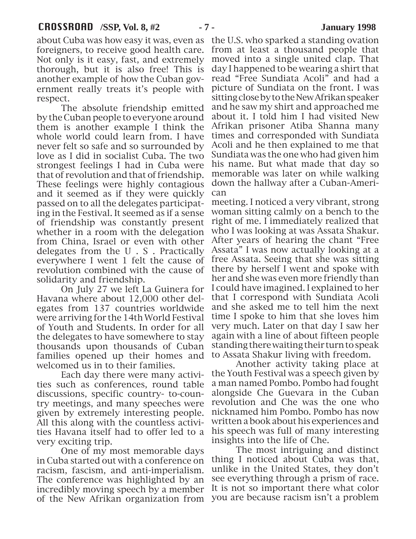about Cuba was how easy it was, even as the U.S. who sparked a standing ovation foreigners, to receive good health care. Not only is it easy, fast, and extremely thorough, but it is also free! This is another example of how the Cuban government really treats it's people with respect.

The absolute friendship emitted by the Cuban people to everyone around them is another example I think the whole world could learn from. I have never felt so safe and so surrounded by love as I did in socialist Cuba. The two strongest feelings I had in Cuba were that of revolution and that of friendship. These feelings were highly contagious and it seemed as if they were quickly passed on to all the delegates participating in the Festival. It seemed as if a sense of friendship was constantly present whether in a room with the delegation from China, Israel or even with other delegates from the U . S . Practically everywhere I went 1 felt the cause of revolution combined with the cause of solidarity and friendship.

On July 27 we left La Guinera for Havana where about 12,000 other delegates from 137 countries worldwide were arriving for the 14th World Festival of Youth and Students. In order for all the delegates to have somewhere to stay thousands upon thousands of Cuban families opened up their homes and welcomed us in to their families.

Each day there were many activities such as conferences, round table discussions, specific country- to-country meetings, and many speeches were given by extremely interesting people. All this along with the countless activities Havana itself had to offer led to a very exciting trip.

One of my most memorable days in Cuba started out with a conference on racism, fascism, and anti-imperialism. The conference was highlighted by an incredibly moving speech by a member of the New Afrikan organization from

from at least a thousand people that moved into a single united clap. That day I happened to be wearing a shirt that read "Free Sundiata Acoli" and had a picture of Sundiata on the front. I was sitting close by to the New Afrikan speaker and he saw my shirt and approached me about it. I told him I had visited New Afrikan prisoner Atiba Shanna many times and corresponded with Sundiata Acoli and he then explained to me that Sundiata was the one who had given him his name. But what made that day so memorable was later on while walking down the hallway after a Cuban-American

meeting. I noticed a very vibrant, strong woman sitting calmly on a bench to the right of me. I immediately realized that who I was looking at was Assata Shakur. After years of hearing the chant "Free Assata" I was now actually looking at a free Assata. Seeing that she was sitting there by herself I went and spoke with her and she was even more friendly than I could have imagined. I explained to her that I correspond with Sundiata Acoli and she asked me to tell him the next time I spoke to him that she loves him very much. Later on that day I saw her again with a line of about fifteen people standing there waiting their turn to speak to Assata Shakur living with freedom.

Another activity taking place at the Youth Festival was a speech given by a man named Pombo. Pombo had fought alongside Che Guevara in the Cuban revolution and Che was the one who nicknamed him Pombo. Pombo has now written a book about his experiences and his speech was full of many interesting insights into the life of Che.

The most intriguing and distinct thing I noticed about Cuba was that, unlike in the United States, they don't see everything through a prism of race. It is not so important there what color you are because racism isn't a problem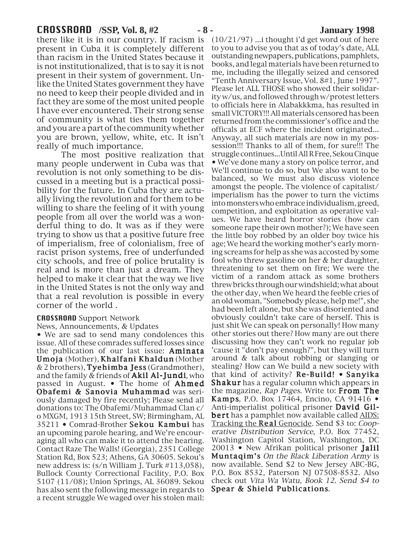there like it is in our country. If racism is present in Cuba it is completely different than racism in the United States because it is not institutionalized, that is to say it is not present in their system of government. Unlike the United States government they have no need to keep their people divided and in fact they are some of the most united people I have ever encountered. Their strong sense of community is what ties them together and you are a part of the community whether you are brown, yellow, white, etc. It isn't really of much importance.

The most positive realization that many people underwent in Cuba was that revolution is not only something to be discussed in a meeting but is a practical possibility for the future. In Cuba they are actually living the revolution and for them to be willing to share the feeling of it with young people from all over the world was a wonderful thing to do. It was as if they were trying to show us that a positive future free of imperialism, free of colonialism, free of racist prison systems, free of underfunded city schools, and free of police brutality is real and is more than just a dream. They helped to make it clear that the way we live in the United States is not the only way and that a real revolution is possible in every corner of the world .

#### CROSSROAD Support Network

News, Announcements, & Updates

• We are sad to send many condolences this issue. All of these comrades suffered losses since the publication of our last issue: Aminata Umoja (Mother), Khalfani Khaldun (Mother  $& 2$  brothers), **Tyehimba Jess** (Grandmother), and the family  $&$  friends of **Akil Al-Jundi**, who passed in August.  $\bullet$  The home of **Ahmed** Obafemi & Sanovia Muhammad was seriously damaged by fire recently; Please send all donations to: The Obafemi/Muhammad Clan c/ o MXGM, 1913 15th Street, SW; Birmingham, AL 35211 • Comrad-Brother Sekou Kambui has an upcoming parole hearing, and We're encouraging all who can make it to attend the hearing. Contact Raze The Walls! (Georgia), 2351 College Station Rd, Box 523; Athens, GA 30605. Sekou's new address is: (s/n William J. Turk #113,058), Bullock County Correctional Facility, P.O. Box 5107 (11/08); Union Springs, AL 36089. Sekou has also sent the following message in regards to a recent struggle We waged over his stolen mail:

(10/21/97) ...i thought i'd get word out of here to you to advise you that as of today's date, ALL outstanding newpapers, publications, pamphlets, books, and legal materials have been returned to me, including the illegally seized and censored "Tenth Anniversary Issue, Vol. 8#1, June 1997". Please let ALL THOSE who showed their solidarity w/us, and followed through w/protest letters to officials here in Alabakkkma, has resulted in small VICTORY!!! All materials censored has been returned from the commissioner's office and the officals at ECF where the incident originated... Anyway, all such materials are now in my possession!!! Thanks to all of them, for sure!!! The struggle continues...Until All R Free, Sekou Cinque • We've done many a story on police terror, and We'll continue to do so, but We also want to be balanced, so We must also discuss violence amongst the people. The violence of capitalist/ imperialism has the power to turn the victims into monsters who embrace individualism, greed, competition, and exploitation as operative values. We have heard horror stories (how can someone rape their own mother?); We have seen the little boy robbed by an older boy twice his age; We heard the working mother's early morning screams for help as she was accosted by some fool who threw gasoline on her & her daughter, threatening to set them on fire; We were the victim of a random attack as some brothers threw bricks through our windshield; what about the other day, when We heard the feeble cries of an old woman, "Somebody please, help me!", she had been left alone, but she was disoriented and obviously couldn't take care of herself. This is just shit We can speak on personally! How many other stories out there? How many are out there discussing how they can't work no regular job 'cause it "don't pay enough?", but they will turn around & talk about robbing or slanging or stealing? How can We build a new society with that kind of activity?  $\text{Re-Build}$  • Sanyika **Shakur** has a regular column which appears in the magazine, Rap Pages. Write to: **From The** Kamps, P.O. Box 17464, Encino, CA 91416  $\bullet$ Anti-imperialist political prisoner David Gil**bert** has a pamphlet now available called **AIDS**: Tracking the **Real** Genocide. Send \$3 to: *Coop*erative Distribution Service, P.O. Box 77452, Washington Capitol Station, Washington, DC 20013 • New Afrikan political prisoner Jalil Muntaqim's On the Black Liberation Army is now available. Send \$2 to New Jersey ABC-BG, P.O. Box 8532, Paterson NJ 07508-8532. Also check out Vita Wa Watu, Book 12. Send \$4 to Spear & Shield Publications.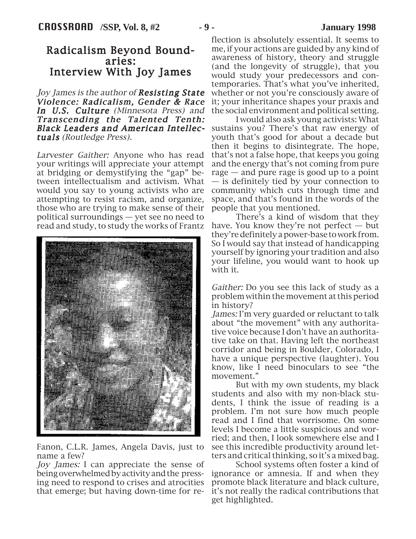## Radicalism Beyond Boundaries: Interview With Joy James

Joy James is the author of **Resisting State** Violence: Radicalism, Gender & Race In U.S. Culture (Minnesota Press) and Transcending the Talented Tenth: Black Leaders and American Intellectuals (Routledge Press).

Larvester Gaither: Anyone who has read your writings will appreciate your attempt at bridging or demystifying the "gap" between intellectualism and activism. What would you say to young activists who are attempting to resist racism, and organize, those who are trying to make sense of their political surroundings — yet see no need to read and study, to study the works of Frantz



Fanon, C.L.R. James, Angela Davis, just to name a few?

Joy James: I can appreciate the sense of being overwhelmed by activity and the pressing need to respond to crises and atrocities that emerge; but having down-time for re-

flection is absolutely essential. It seems to me, if your actions are guided by any kind of awareness of history, theory and struggle (and the longevity of struggle), that you would study your predecessors and contemporaries. That's what you've inherited, whether or not you're consciously aware of it; your inheritance shapes your praxis and the social environment and political setting.

I would also ask young activists: What sustains you? There's that raw energy of youth that's good for about a decade but then it begins to disintegrate. The hope, that's not a false hope, that keeps you going and the energy that's not coming from pure rage — and pure rage is good up to a point — is definitely tied by your connection to community which cuts through time and space, and that's found in the words of the people that you mentioned.

There's a kind of wisdom that they have. You know they're not perfect  $-$  but they're definitely a power-base to work from. So I would say that instead of handicapping yourself by ignoring your tradition and also your lifeline, you would want to hook up with it.

Gaither: Do you see this lack of study as a problem within the movement at this period in history?

James: I'm very guarded or reluctant to talk about "the movement" with any authoritative voice because I don't have an authoritative take on that. Having left the northeast corridor and being in Boulder, Colorado, I have a unique perspective (laughter). You know, like I need binoculars to see "the movement."

But with my own students, my black students and also with my non-black students, I think the issue of reading is a problem. I'm not sure how much people read and I find that worrisome. On some levels I become a little suspicious and worried; and then, I look somewhere else and I see this incredible productivity around letters and critical thinking, so it's a mixed bag.

School systems often foster a kind of ignorance or amnesia. If and when they promote black literature and black culture, it's not really the radical contributions that get highlighted.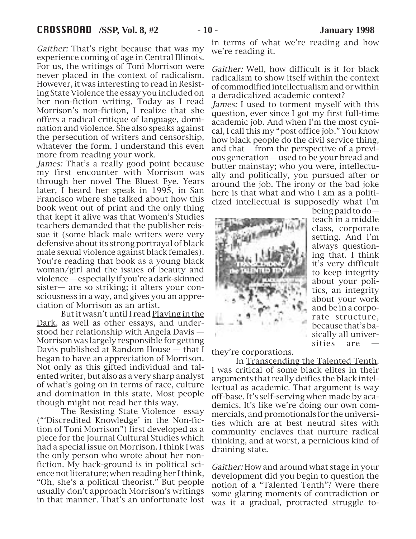Gaither: That's right because that was my experience coming of age in Central Illinois. For us, the writings of Toni Morrison were never placed in the context of radicalism. However, it was interesting to read in Resisting State Violence the essay you included on her non-fiction writing. Today as I read Morrison's non-fiction, I realize that she offers a radical critique of language, domination and violence. She also speaks against the persecution of writers and censorship, whatever the form. I understand this even more from reading your work.

James: That's a really good point because my first encounter with Morrison was through her novel The Bluest Eye. Years later, I heard her speak in 1995, in San Francisco where she talked about how this book went out of print and the only thing that kept it alive was that Women's Studies teachers demanded that the publisher reissue it (some black male writers were very defensive about its strong portrayal of black male sexual violence against black females). You're reading that book as a young black woman/girl and the issues of beauty and violence — especially if you're a dark-skinned sister— are so striking; it alters your consciousness in a way, and gives you an appreciation of Morrison as an artist.

But it wasn't until I read Playing in the Dark, as well as other essays, and understood her relationship with Angela Davis — Morrison was largely responsible for getting Davis published at Random House — that I began to have an appreciation of Morrison. Not only as this gifted individual and talented writer, but also as a very sharp analyst of what's going on in terms of race, culture and domination in this state. Most people though might not read her this way.

The Resisting State Violence essay ("'Discredited Knowledge' in the Non-fiction of Toni Morrison") first developed as a piece for the journal Cultural Studies which had a special issue on Morrison. I think I was the only person who wrote about her nonfiction. My back-ground is in political science not literature; when reading her I think, "Oh, she's a political theorist." But people usually don't approach Morrison's writings in that manner. That's an unfortunate lost

in terms of what we're reading and how we're reading it.

Gaither: Well, how difficult is it for black radicalism to show itself within the context of commodified intellectualism and or within a deradicalized academic context?

James: I used to torment myself with this question, ever since I got my first full-time academic job. And when I'm the most cynical, I call this my "post office job." You know how black people do the civil service thing, and that— from the perspective of a previous generation— used to be your bread and butter mainstay; who you were, intellectually and politically, you pursued after or around the job. The irony or the bad joke here is that what and who I am as a politicized intellectual is supposedly what I'm



being paid to do teach in a middle class, corporate setting. And I'm always questioning that. I think it's very difficult to keep integrity about your politics, an integrity about your work and be in a corporate structure, because that's basically all universities are

they're corporations.

In Transcending the Talented Tenth, I was critical of some black elites in their arguments that really deifies the black intellectual as academic. That argument is way off-base. It's self-serving when made by academics. It's like we're doing our own commercials, and promotionals for the universities which are at best neutral sites with community enclaves that nurture radical thinking, and at worst, a pernicious kind of draining state.

Gaither: How and around what stage in your development did you begin to question the notion of a "Talented Tenth"? Were there some glaring moments of contradiction or was it a gradual, protracted struggle to-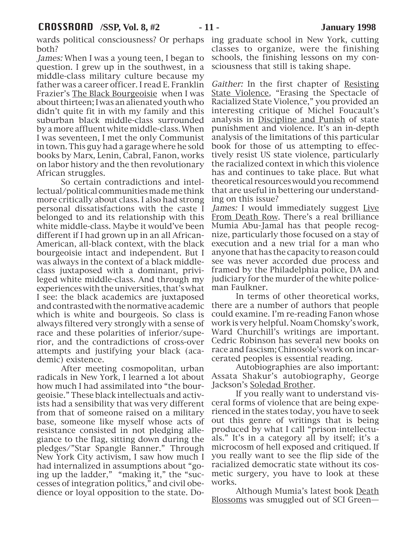wards political consciousness? Or perhaps ing graduate school in New York, cutting both?

James: When I was a young teen, I began to question. I grew up in the southwest, in a middle-class military culture because my father was a career officer. I read E. Franklin Frazier's The Black Bourgeoisie when I was about thirteen; I was an alienated youth who didn't quite fit in with my family and this suburban black middle-class surrounded by a more affluent white middle-class. When I was seventeen, I met the only Communist in town. This guy had a garage where he sold books by Marx, Lenin, Cabral, Fanon, works on labor history and the then revolutionary African struggles.

So certain contradictions and intellectual/political communities made me think more critically about class. I also had strong personal dissatisfactions with the caste I belonged to and its relationship with this white middle-class. Maybe it would've been different if I had grown up in an all African-American, all-black context, with the black bourgeoisie intact and independent. But I was always in the context of a black middleclass juxtaposed with a dominant, privileged white middle-class. And through my experiences with the universities, that's what I see: the black academics are juxtaposed and contrasted with the normative academic which is white and bourgeois. So class is always filtered very strongly with a sense of race and these polarities of inferior/superior, and the contradictions of cross-over attempts and justifying your black (academic) existence.

After meeting cosmopolitan, urban radicals in New York, I learned a lot about how much I had assimilated into "the bourgeoisie." These black intellectuals and activists had a sensibility that was very different from that of someone raised on a military base, someone like myself whose acts of resistance consisted in not pledging allegiance to the flag, sitting down during the pledges/"Star Spangle Banner." Through New York City activism, I saw how much I had internalized in assumptions about "going up the ladder," "making it," the "successes of integration politics," and civil obedience or loyal opposition to the state. Do-

classes to organize, were the finishing schools, the finishing lessons on my consciousness that still is taking shape.

Gaither: In the first chapter of Resisting State Violence, "Erasing the Spectacle of Racialized State Violence," you provided an interesting critique of Michel Foucault's analysis in Discipline and Punish of state punishment and violence. It's an in-depth analysis of the limitations of this particular book for those of us attempting to effectively resist US state violence, particularly the racialized context in which this violence has and continues to take place. But what theoretical resources would you recommend that are useful in bettering our understanding on this issue?

James: I would immediately suggest Live From Death Row. There's a real brilliance Mumia Abu-Jamal has that people recognize, particularly those focused on a stay of execution and a new trial for a man who anyone that has the capacity to reason could see was never accorded due process and framed by the Philadelphia police, DA and judiciary for the murder of the white policeman Faulkner.

In terms of other theoretical works, there are a number of authors that people could examine. I'm re-reading Fanon whose work is very helpful. Noam Chomsky's work, Ward Churchill's writings are important. Cedric Robinson has several new books on race and fascism; Chinosole's work on incarcerated peoples is essential reading.

Autobiographies are also important: Assata Shakur's autobiography, George Jackson's Soledad Brother.

If you really want to understand visceral forms of violence that are being experienced in the states today, you have to seek out this genre of writings that is being produced by what I call "prison intellectuals." It's in a category all by itself; it's a microcosm of hell exposed and critiqued. If you really want to see the flip side of the racialized democratic state without its cosmetic surgery, you have to look at these works.

Although Mumia's latest book Death Blossoms was smuggled out of SCI Green—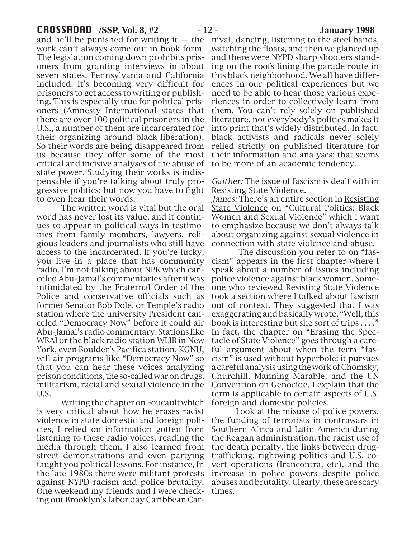#### CROSSROAD **/SSP, Vol. 8, #2 - 12 - January 1998**

and he'll be punished for writing it — the nival, dancing, listening to the steel bands, work can't always come out in book form. The legislation coming down prohibits prisoners from granting interviews in about seven states, Pennsylvania and California included. It's becoming very difficult for prisoners to get access to writing or publishing. This is especially true for political prisoners (Amnesty International states that there are over 100 political prisoners in the U.S., a number of them are incarcerated for their organizing around black liberation). So their words are being disappeared from us because they offer some of the most critical and incisive analyses of the abuse of state power. Studying their works is indispensable if you're talking about truly progressive politics; but now you have to fight to even hear their words.

The written word is vital but the oral word has never lost its value, and it continues to appear in political ways in testimonies from family members, lawyers, religious leaders and journalists who still have access to the incarcerated. If you're lucky, you live in a place that has community radio. I'm not talking about NPR which canceled Abu-Jamal's commentaries after it was intimidated by the Fraternal Order of the Police and conservative officials such as former Senator Bob Dole, or Temple's radio station where the university President canceled "Democracy Now" before it could air Abu-Jamal's radio commentary. Stations like WBAI or the black radio station WLIB in New York, even Boulder's Pacifica station, KGNU, will air programs like "Democracy Now" so that you can hear these voices analyzing prison conditions, the so-called war on drugs, militarism, racial and sexual violence in the U.S.

Writing the chapter on Foucault which is very critical about how he erases racist violence in state domestic and foreign policies, I relied on information gotten from listening to these radio voices, reading the media through them. I also learned from street demonstrations and even partying taught you political lessons. For instance, In the late 1980s there were militant protests against NYPD racism and police brutality. One weekend my friends and I were checking out Brooklyn's labor day Caribbean Car-

watching the floats, and then we glanced up and there were NYPD sharp shooters standing on the roofs lining the parade route in this black neighborhood. We all have differences in our political experiences but we need to be able to hear those various experiences in order to collectively learn from them. You can't rely solely on published literature, not everybody's politics makes it into print that's widely distributed. In fact, black activists and radicals never solely relied strictly on published literature for their information and analyses; that seems to be more of an academic tendency.

#### Gaither: The issue of fascism is dealt with in Resisting State Violence.

James: There's an entire section in Resisting State Violence on "Cultural Politics: Black Women and Sexual Violence" which I want to emphasize because we don't always talk about organizing against sexual violence in connection with state violence and abuse.

 The discussion you refer to on "fascism" appears in the first chapter where I speak about a number of issues including police violence against black women. Someone who reviewed Resisting State Violence took a section where I talked about fascism out of context. They suggested that I was exaggerating and basically wrote, "Well, this book is interesting but she sort of trips . . . ." In fact, the chapter on "Erasing the Spectacle of State Violence" goes through a careful argument about when the term "fascism" is used without hyperbole; it pursues a careful analysis using the work of Chomsky, Churchill, Manning Marable, and the UN Convention on Genocide. I explain that the term is applicable to certain aspects of U.S. foreign and domestic policies.

Look at the misuse of police powers, the funding of terrorists in contrawars in Southern Africa and Latin America during the Reagan administration, the racist use of the death penalty, the links between drugtrafficking, rightwing politics and U.S. covert operations (Irancontra, etc), and the increase in police powers despite police abuses and brutality. Clearly, these are scary times.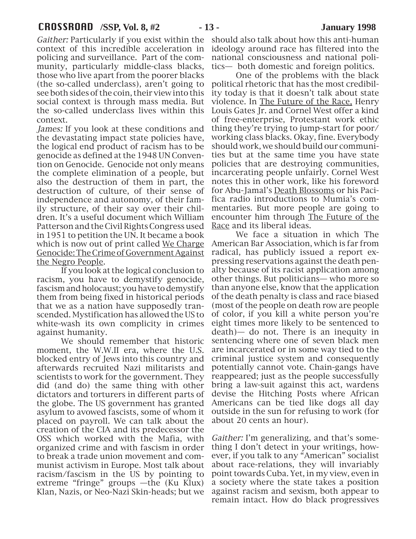Gaither: Particularly if you exist within the context of this incredible acceleration in policing and surveillance. Part of the community, particularly middle-class blacks, those who live apart from the poorer blacks (the so-called underclass), aren't going to see both sides of the coin, their view into this social context is through mass media. But the so-called underclass lives within this context.

James: If you look at these conditions and the devastating impact state policies have, the logical end product of racism has to be genocide as defined at the 1948 UN Convention on Genocide. Genocide not only means the complete elimination of a people, but also the destruction of them in part, the destruction of culture, of their sense of independence and autonomy, of their family structure, of their say over their children. It's a useful document which William Patterson and the Civil Rights Congress used in 1951 to petition the UN. It became a book which is now out of print called We Charge Genocide: The Crime of Government Against the Negro People.

If you look at the logical conclusion to racism, you have to demystify genocide, fascism and holocaust; you have to demystify them from being fixed in historical periods that we as a nation have supposedly transcended. Mystification has allowed the US to white-wash its own complicity in crimes against humanity.

We should remember that historic moment, the W.W.II era, where the U.S. blocked entry of Jews into this country and afterwards recruited Nazi militarists and scientists to work for the government. They did (and do) the same thing with other dictators and torturers in different parts of the globe. The US government has granted asylum to avowed fascists, some of whom it placed on payroll. We can talk about the creation of the CIA and its predecessor the OSS which worked with the Mafia, with organized crime and with fascism in order to break a trade union movement and communist activism in Europe. Most talk about racism/fascism in the US by pointing to extreme "fringe" groups —the (Ku Klux) Klan, Nazis, or Neo-Nazi Skin-heads; but we

should also talk about how this anti-human ideology around race has filtered into the national consciousness and national politics— both domestic and foreign politics.

One of the problems with the black political rhetoric that has the most credibility today is that it doesn't talk about state violence. In The Future of the Race, Henry Louis Gates Jr. and Cornel West offer a kind of free-enterprise, Protestant work ethic thing they're trying to jump-start for poor/ working class blacks. Okay, fine. Everybody should work, we should build our communities but at the same time you have state policies that are destroying communities, incarcerating people unfairly. Cornel West notes this in other work, like his foreword for Abu-Jamal's Death Blossoms or his Pacifica radio introductions to Mumia's commentaries. But more people are going to encounter him through The Future of the Race and its liberal ideas.

We face a situation in which The American Bar Association, which is far from radical, has publicly issued a report expressing reservations against the death penalty because of its racist application among other things. But politicians— who more so than anyone else, know that the application of the death penalty is class and race biased (most of the people on death row are people of color, if you kill a white person you're eight times more likely to be sentenced to death)— do not. There is an inequity in sentencing where one of seven black men are incarcerated or in some way tied to the criminal justice system and consequently potentially cannot vote. Chain-gangs have reappeared; just as the people successfully bring a law-suit against this act, wardens devise the Hitching Posts where African Americans can be tied like dogs all day outside in the sun for refusing to work (for about 20 cents an hour).

Gaither: I'm generalizing, and that's something I don't detect in your writings, however, if you talk to any "American" socialist about race-relations, they will invariably point towards Cuba. Yet, in my view, even in a society where the state takes a position against racism and sexism, both appear to remain intact. How do black progressives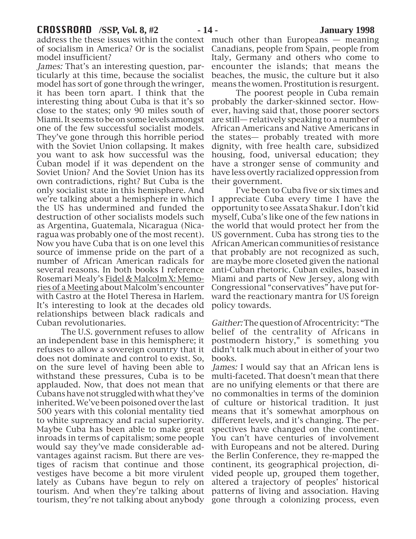address the these issues within the context of socialism in America? Or is the socialist model insufficient?

James: That's an interesting question, particularly at this time, because the socialist model has sort of gone through the wringer, it has been torn apart. I think that the interesting thing about Cuba is that it's so close to the states; only 90 miles south of Miami. It seems to be on some levels amongst one of the few successful socialist models. They've gone through this horrible period with the Soviet Union collapsing. It makes you want to ask how successful was the Cuban model if it was dependent on the Soviet Union? And the Soviet Union has its own contradictions, right? But Cuba is the only socialist state in this hemisphere. And we're talking about a hemisphere in which the US has undermined and funded the destruction of other socialists models such as Argentina, Guatemala, Nicaragua (Nicaragua was probably one of the most recent). Now you have Cuba that is on one level this source of immense pride on the part of a number of African American radicals for several reasons. In both books I reference Rosemari Mealy's Fidel & Malcolm X: Memories of a Meeting about Malcolm's encounter with Castro at the Hotel Theresa in Harlem. It's interesting to look at the decades old relationships between black radicals and Cuban revolutionaries.

The U.S. government refuses to allow an independent base in this hemisphere; it refuses to allow a sovereign country that it does not dominate and control to exist. So, on the sure level of having been able to withstand these pressures, Cuba is to be applauded. Now, that does not mean that Cubans have not struggled with what they've inherited. We've been poisoned over the last 500 years with this colonial mentality tied to white supremacy and racial superiority. Maybe Cuba has been able to make great inroads in terms of capitalism; some people would say they've made considerable advantages against racism. But there are vestiges of racism that continue and those vestiges have become a bit more virulent lately as Cubans have begun to rely on tourism. And when they're talking about tourism, they're not talking about anybody

much other than Europeans — meaning Canadians, people from Spain, people from Italy, Germany and others who come to encounter the islands; that means the beaches, the music, the culture but it also means the women. Prostitution is resurgent.

The poorest people in Cuba remain probably the darker-skinned sector. However, having said that, those poorer sectors are still— relatively speaking to a number of African Americans and Native Americans in the states— probably treated with more dignity, with free health care, subsidized housing, food, universal education; they have a stronger sense of community and have less overtly racialized oppression from their government.

I've been to Cuba five or six times and I appreciate Cuba every time I have the opportunity to see Assata Shakur. I don't kid myself, Cuba's like one of the few nations in the world that would protect her from the US government. Cuba has strong ties to the African American communities of resistance that probably are not recognized as such, are maybe more closeted given the national anti-Cuban rhetoric. Cuban exiles, based in Miami and parts of New Jersey, along with Congressional "conservatives" have put forward the reactionary mantra for US foreign policy towards.

Gaither: The question of Afrocentricity: "The belief of the centrality of Africans in postmodern history," is something you didn't talk much about in either of your two books.

James: I would say that an African lens is multi-faceted. That doesn't mean that there are no unifying elements or that there are no commonalties in terms of the dominion of culture or historical tradition. It just means that it's somewhat amorphous on different levels, and it's changing. The perspectives have changed on the continent. You can't have centuries of involvement with Europeans and not be altered. During the Berlin Conference, they re-mapped the continent, its geographical projection, divided people up, grouped them together, altered a trajectory of peoples' historical patterns of living and association. Having gone through a colonizing process, even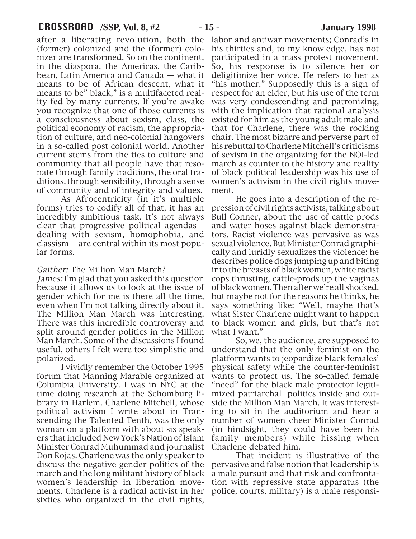(former) colonized and the (former) colonizer are transformed. So on the continent, in the diaspora, the Americas, the Caribbean, Latin America and Canada — what it means to be of African descent, what it means to be" black," is a multifaceted reality fed by many currents. If you're awake you recognize that one of those currents is a consciousness about sexism, class, the political economy of racism, the appropriation of culture, and neo-colonial hangovers in a so-called post colonial world. Another current stems from the ties to culture and community that all people have that resonate through family traditions, the oral traditions, through sensibility, through a sense of community and of integrity and values.

As Afrocentricity (in it's multiple forms) tries to codify all of that, it has an incredibly ambitious task. It's not always clear that progressive political agendas dealing with sexism, homophobia, and classism— are central within its most popular forms.

#### Gaither: The Million Man March?

James: I'm glad that you asked this question because it allows us to look at the issue of gender which for me is there all the time, even when I'm not talking directly about it. The Million Man March was interesting. There was this incredible controversy and split around gender politics in the Million Man March. Some of the discussions I found useful, others I felt were too simplistic and polarized.

I vividly remember the October 1995 forum that Manning Marable organized at Columbia University. I was in NYC at the time doing research at the Schomburg library in Harlem. Charlene Mitchell, whose political activism I write about in Transcending the Talented Tenth, was the only woman on a platform with about six speakers that included New York's Nation of Islam Minister Conrad Muhummad and journalist Don Rojas. Charlene was the only speaker to discuss the negative gender politics of the march and the long militant history of black women's leadership in liberation movements. Charlene is a radical activist in her sixties who organized in the civil rights,

after a liberating revolution, both the labor and antiwar movements; Conrad's in his thirties and, to my knowledge, has not participated in a mass protest movement. So, his response is to silence her or deligitimize her voice. He refers to her as "his mother." Supposedly this is a sign of respect for an elder, but his use of the term was very condescending and patronizing, with the implication that rational analysis existed for him as the young adult male and that for Charlene, there was the rocking chair. The most bizarre and perverse part of his rebuttal to Charlene Mitchell's criticisms of sexism in the organizing for the NOI-led march as counter to the history and reality of black political leadership was his use of women's activism in the civil rights movement.

> He goes into a description of the repression of civil rights activists, talking about Bull Conner, about the use of cattle prods and water hoses against black demonstrators. Racist violence was pervasive as was sexual violence. But Minister Conrad graphically and luridly sexualizes the violence: he describes police dogs jumping up and biting into the breasts of black women, white racist cops thrusting, cattle-prods up the vaginas of black women. Then after we're all shocked, but maybe not for the reasons he thinks, he says something like: "Well, maybe that's what Sister Charlene might want to happen to black women and girls, but that's not what I want."

> So, we, the audience, are supposed to understand that the only feminist on the platform wants to jeopardize black females' physical safety while the counter-feminist wants to protect us. The so-called female "need" for the black male protector legitimized patriarchal politics inside and outside the Million Man March. It was interesting to sit in the auditorium and hear a number of women cheer Minister Conrad (in hindsight, they could have been his family members) while hissing when Charlene debated him.

> That incident is illustrative of the pervasive and false notion that leadership is a male pursuit and that risk and confrontation with repressive state apparatus (the police, courts, military) is a male responsi-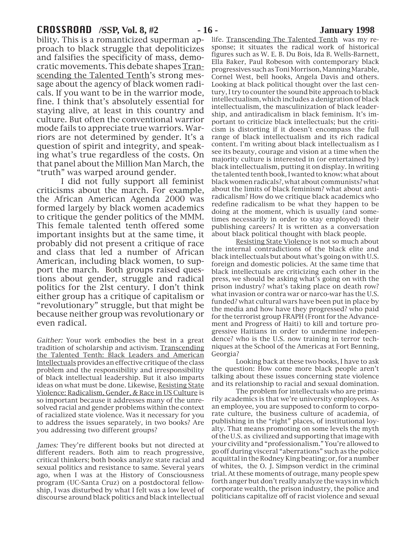#### CROSSROAD **/SSP, Vol. 8, #2 - 16 - January 1998**

bility. This is a romanticized superman approach to black struggle that depoliticizes and falsifies the specificity of mass, democratic movements. This debate shapes Transcending the Talented Tenth's strong message about the agency of black women radicals. If you want to be in the warrior mode, fine. I think that's absolutely essential for staying alive, at least in this country and culture. But often the conventional warrior mode fails to appreciate true warriors. Warriors are not determined by gender. It's a question of spirit and integrity, and speaking what's true regardless of the costs. On that panel about the Million Man March, the "truth" was warped around gender.

I did not fully support all feminist criticisms about the march. For example, the African American Agenda 2000 was formed largely by black women academics to critique the gender politics of the MMM. This female talented tenth offered some important insights but at the same time, it probably did not present a critique of race and class that led a number of African American, including black women, to support the march. Both groups raised questions about gender, struggle and radical politics for the 2lst century. I don't think either group has a critique of capitalism or "revolutionary" struggle, but that might be because neither group was revolutionary or even radical.

Gaither: Your work embodies the best in a great tradition of scholarship and activism. Transcending the Talented Tenth: Black Leaders and American Intellectuals provides an effective critique of the class problem and the responsibility and irresponsibility of black intellectual leadership. But it also imparts ideas on what must be done. Likewise, Resisting State Violence: Radicalism, Gender, & Race in US Culture is so important because it addresses many of the unresolved racial and gender problems within the context of racialized state violence. Was it necessary for you to address the issues separately, in two books? Are you addressing two different groups?

James: They're different books but not directed at different readers. Both aim to reach progressive, critical thinkers; both books analyze state racial and sexual politics and resistance to same. Several years ago, when I was at the History of Consciousness program (UC-Santa Cruz) on a postdoctoral fellowship, I was disturbed by what I felt was a low level of discourse around black politics and black intellectual life. Transcending The Talented Tenth was my response; it situates the radical work of historical figures such as W. E. B. Du Bois, Ida B. Wells-Barnett, Ella Baker, Paul Robeson with contemporary black progressives such as Toni Morrison, Manning Marable, Cornel West, bell hooks, Angela Davis and others. Looking at black political thought over the last century, I try to counter the sound bite approach to black intellectualism, which includes a denigration of black intellectualism, the masculinization of black leadership, and antiradicalism in black feminism. It's important to criticize black intellectuals; but the criticism is distorting if it doesn't encompass the full range of black intellectualism and its rich radical content. I'm writing about black intellectualism as I see its beauty, courage and vision at a time when the majority culture is interested in (or entertained by) black intellectualism, putting it on display. In writing the talented tenth book, I wanted to know: what about black women radicals?, what about communists? what about the limits of black feminism? what about antiradicalism? How do we critique black academics who redefine radicalism to be what they happen to be doing at the moment, which is usually (and sometimes necessarily in order to stay employed) their publishing careers? It is written as a conversation about black political thought with black people.

Resisting State Violence is not so much about the internal contradictions of the black elite and black intellectuals but about what's going on with U.S. foreign and domestic policies. At the same time that black intellectuals are criticizing each other in the press, we should be asking what's going on with the prison industry? what's taking place on death row? what invasion or contra war or narco-war has the U.S. funded? what cultural wars have been put in place by the media and how have they progressed? who paid for the terrorist group FRAPH (Front for the Advancement and Progress of Haiti) to kill and torture progressive Haitians in order to undermine independence? who is the U.S. now training in terror techniques at the School of the Americas at Fort Benning, Georgia?

Looking back at these two books, I have to ask the question: How come more black people aren't talking about these issues concerning state violence and its relationship to racial and sexual domination.

The problem for intellectuals who are primarily academics is that we're university employees. As an employee, you are supposed to conform to corporate culture, the business culture of academia, of publishing in the "right" places, of institutional loyalty. That means promoting on some levels the myth of the U.S. as civilized and supporting that image with your civility and "professionalism." You're allowed to go off during visceral "aberrations" such as the police acquittal in the Rodney King beating; or, for a number of whites, the O. J. Simpson verdict in the criminal trial. At these moments of outrage, many people spew forth anger but don't really analyze the ways in which corporate wealth, the prison industry, the police and politicians capitalize off of racist violence and sexual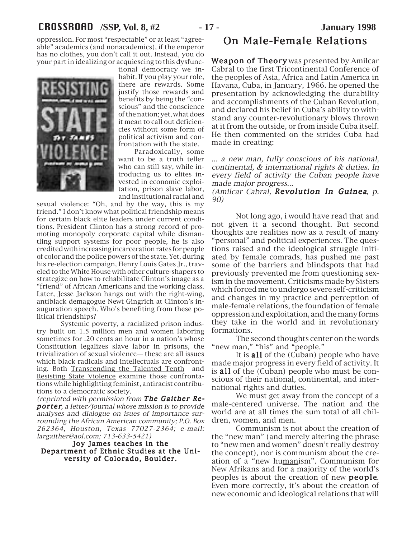oppression. For most "respectable" or at least "agreeable" academics (and nonacademics), if the emperor has no clothes, you don't call it out. Instead, you do your part in idealizing or acquiescing to this dysfunc-



tional democracy we inhabit. If you play your role, there are rewards. Some justify those rewards and benefits by being the "conscious" and the conscience of the nation; yet, what does it mean to call out deficiencies without some form of political activism and confrontation with the state.

Paradoxically, some want to be a truth teller who can still say, while introducing us to elites invested in economic exploitation, prison slave labor, and institutional racial and

sexual violence: "Oh, and by the way, this is my friend." I don't know what political friendship means for certain black elite leaders under current conditions. President Clinton has a strong record of promoting monopoly corporate capital while dismantling support systems for poor people, he is also credited with increasing incarceration rates for people of color and the police powers of the state. Yet, during his re-election campaign, Henry Louis Gates Jr., traveled to the White House with other culture-shapers to strategize on how to rehabilitate Clinton's image as a "friend" of African Americans and the working class. Later, Jesse Jackson hangs out with the right-wing, antiblack demagogue Newt Gingrich at Clinton's inauguration speech. Who's benefiting from these political friendships?

Systemic poverty, a racialized prison industry built on 1.5 million men and women laboring sometimes for .20 cents an hour in a nation's whose Constitution legalizes slave labor in prisons, the trivialization of sexual violence— these are all issues which black radicals and intellectuals are confronting. Both Transcending the Talented Tenth and Resisting State Violence examine those confrontations while highlighting feminist, antiracist contributions to a democratic society.

(reprinted with permission from The Gaither Reporter, a letter/journal whose mission is to provide analyses and dialogue on isues of importance surrounding the African American community; P.O. Box 262364, Houston, Texas 77027-2364; e-mail: largaither@aol.com; 713-633-5421)

Joy James teaches in the Department of Ethnic Studies at the University of Colorado, Boulder.

# On Male-Female Relations

Weapon of Theory was presented by Amilcar Cabral to the first Tricontinental Conference of the peoples of Asia, Africa and Latin America in Havana, Cuba, in January, 1966. he opened the presentation by acknowledging the durability and accomplishments of the Cuban Revolution, and declared his belief in Cuba's ability to withstand any counter-revolutionary blows thrown at it from the outside, or from inside Cuba itself. He then commented on the strides Cuba had made in creating:

... a new man, fully conscious of his national, continental, & international rights & duties. In every field of activity the Cuban people have made major progress...

(Amilcar Cabral, Revolution In Guinea, p. 90)

Not long ago, i would have read that and not given it a second thought. But second thoughts are realities now as a result of many "personal" and political experiences. The questions raised and the ideological struggle initiated by female comrads, has pushed me past some of the barriers and blindspots that had previously prevented me from questioning sexism in the movement. Criticisms made by Sisters which forced me to undergo severe self-criticism and changes in my practice and perception of male-female relations, the foundation of female oppression and exploitation, and the many forms they take in the world and in revolutionary formations.

The second thoughts center on the words "new man," "his" and "people."

It is all of the (Cuban) people who have made major progress in every field of activity. It is **all** of the (Cuban) people who must be conscious of their national, continental, and international rights and duties.

We must get away from the concept of a male-centered universe. The nation and the world are at all times the sum total of all children, women, and men.

Communism is not about the creation of the "new man" (and merely altering the phrase to "new men and women" doesn't really destroy the concept), nor is communism about the creation of a "new humanism". Communism for New Afrikans and for a majority of the world's peoples is about the creation of new **people.** Even more correctly, it's about the creation of new economic and ideological relations that will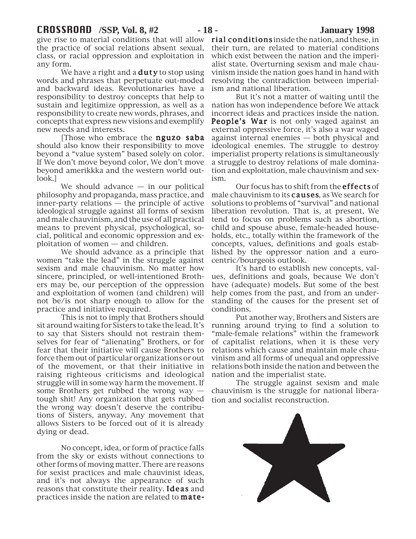give rise to material conditions that will allow **rial conditions** inside the nation, and these, in the practice of social relations absent sexual, class, or racial oppression and exploitation in any form.

We have a right and a  $duty$  to stop using words and phrases that perpetuate out-moded and backward ideas. Revolutionaries have a responsibility to destroy concepts that help to sustain and legitimize oppression, as well as a responsibility to create new words, phrases, and concepts that express new visions and exemplify new needs and interests.

Those who embrace the **nguzo saba** should also know their responsibility to move beyond a "value system" based solely on color. If We don't move beyond color, We don't move beyond amerikkka and the western world outlook.]

We should advance  $-$  in our political philosophy and propaganda, mass practice, and inner-party relations — the principle of active ideological struggle against all forms of sexism and male chauvinism, and the use of all practical means to prevent physical, psychological, social, political and economic oppression and exploitation of women — and children.

We should advance as a principle that women "take the lead" in the struggle against sexism and male chauvinism. No matter how sincere, principled, or well-intentioned Brothers may be, our perception of the oppression and exploitation of women (and children) will not be/is not sharp enough to allow for the practice and initiative required.

This is not to imply that Brothers should sit around waiting for Sisters to take the lead. It's to say that Sisters should not restrain themselves for fear of "alienating" Brothers, or for fear that their initiative will cause Brothers to force them out of particular organizations or out of the movement, or that their initiative in raising righteous criticisms and ideological struggle will in some way harm the movement. If some Brothers get rubbed the wrong way tough shit! Any organization that gets rubbed the wrong way doesn't deserve the contributions of Sisters, anyway. Any movement that allows Sisters to be forced out of it is already dying or dead.

No concept, idea, or form of practice falls from the sky or exists without connections to other forms of moving matter. There are reasons for sexist practices and male chauvinist ideas, and it's not always the appearance of such reasons that constitute their reality. **Ideas** and practices inside the nation are related to mate-

their turn, are related to material conditions which exist between the nation and the imperialist state. Overturning sexism and male chauvinism inside the nation goes hand in hand with resolving the contradiction between imperialism and national liberation.

But it's not a matter of waiting until the nation has won independence before We attack incorrect ideas and practices inside the nation. **People's War** is not only waged against an external oppressive force, it's also a war waged against internal enemies — both physical and ideological enemies. The struggle to destroy imperialist property relations is simultaneously a struggle to destroy relations of male domination and exploitation, male chauvinism and sexism.

Our focus has to shift from the **effects** of male chauvinism to its **causes**, as We search for solutions to problems of "survival" and national liberation revolution. That is, at present, We tend to focus on problems such as abortion, child and spouse abuse, female-headed households, etc., totally within the framework of the concepts, values, definitions and goals established by the oppressor nation and a eurocentric/bourgeois outlook.

It's hard to establish new concepts, values, definitions and goals, because We don't have (adequate) models. But some of the best help comes from the past, and from an understanding of the causes for the present set of conditions.

Put another way, Brothers and Sisters are running around trying to find a solution to "male-female relations" within the framework of capitalist relations, when it is these very relations which cause and maintain male chauvinism and all forms of unequal and oppressive relations both inside the nation and between the nation and the imperialist state.

The struggle against sexism and male chauvinism is the struggle for national liberation and socialist reconstruction.

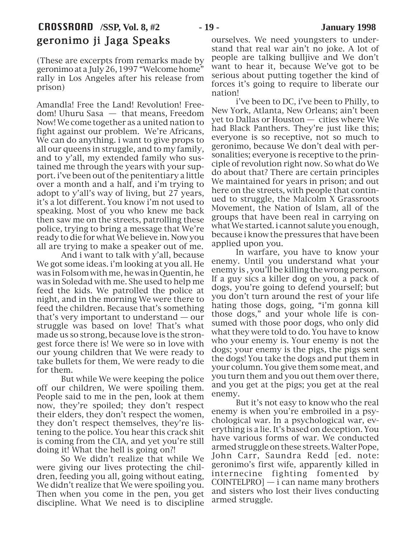# CROSSROAD **/SSP, Vol. 8, #2 - 19 - January 1998** geronimo ji Jaga Speaks

(These are excerpts from remarks made by geronimo at a July 26, 1997 "Welcome home" rally in Los Angeles after his release from prison)

Amandla! Free the Land! Revolution! Freedom! Uhuru Sasa — that means, Freedom Now! We come together as a united nation to fight against our problem. We're Africans, We can do anything. i want to give props to all our queens in struggle, and to my family, and to y'all, my extended family who sustained me through the years with your support. i've been out of the penitentiary a little over a month and a half, and i'm trying to adopt to y'all's way of living, but 27 years, it's a lot different. You know i'm not used to speaking. Most of you who knew me back then saw me on the streets, patrolling these police, trying to bring a message that We're ready to die for what We believe in. Now you all are trying to make a speaker out of me.

And i want to talk with y'all, because We got some ideas. i'm looking at you all. He was in Folsom with me, he was in Quentin, he was in Soledad with me. She used to help me feed the kids. We patrolled the police at night, and in the morning We were there to feed the children. Because that's something that's very important to understand — our struggle was based on love! That's what made us so strong, because love is the strongest force there is! We were so in love with our young children that We were ready to take bullets for them, We were ready to die for them.

But while We were keeping the police off our children, We were spoiling them. People said to me in the pen, look at them now, they're spoiled; they don't respect their elders, they don't respect the women, they don't respect themselves, they're listening to the police. You hear this crack shit is coming from the CIA, and yet you're still doing it! What the hell is going on?!

So We didn't realize that while We were giving our lives protecting the children, feeding you all, going without eating, We didn't realize that We were spoiling you. Then when you come in the pen, you get discipline. What We need is to discipline

ourselves. We need youngsters to understand that real war ain't no joke. A lot of people are talking bulljive and We don't want to hear it, because We've got to be serious about putting together the kind of forces it's going to require to liberate our nation!

i've been to DC, i've been to Philly, to New York, Atlanta, New Orleans; ain't been yet to Dallas or Houston — cities where We had Black Panthers. They're just like this; everyone is so receptive, not so much to geronimo, because We don't deal with personalities; everyone is receptive to the principle of revolution right now. So what do We do about that? There are certain principles We maintained for years in prison; and out here on the streets, with people that continued to struggle, the Malcolm X Grassroots Movement, the Nation of Islam, all of the groups that have been real in carrying on what We started. i cannot salute you enough, because i know the pressures that have been applied upon you.

In warfare, you have to know your enemy. Until you understand what your enemy is , you'll be killing the wrong person. If a guy sics a killer dog on you, a pack of dogs, you're going to defend yourself; but you don't turn around the rest of your life hating those dogs, going, "i'm gonna kill those dogs," and your whole life is consumed with those poor dogs, who only did what they were told to do. You have to know who your enemy is. Your enemy is not the dogs; your enemy is the pigs, the pigs sent the dogs! You take the dogs and put them in your column. You give them some meat, and you turn them and you out them over there, and you get at the pigs; you get at the real enemy.

But it's not easy to know who the real enemy is when you're embroiled in a psychological war. In a psychological war, everything is a lie. It's based on deception. You have various forms of war. We conducted armed struggle on these streets. Walter Pope, John Carr, Saundra Redd [ed. note: geronimo's first wife, apparently killed in internecine fighting fomented by  $CONTELPRO$ ] — i can name many brothers and sisters who lost their lives conducting armed struggle.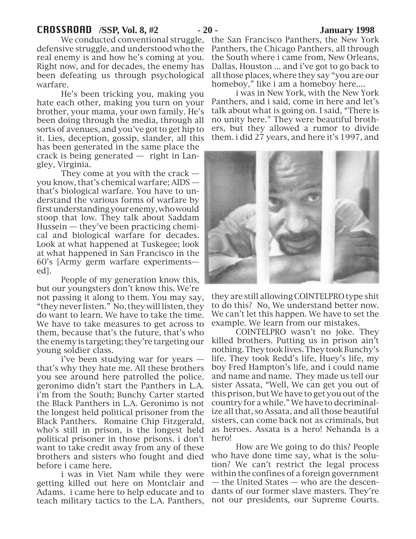#### CROSSROAD **/SSP, Vol. 8, #2 - 20 - January 1998**

defensive struggle, and understood who the real enemy is and how he's coming at you. Right now, and for decades, the enemy has been defeating us through psychological warfare.

He's been tricking you, making you hate each other, making you turn on your brother, your mama, your own family. He's been doing through the media, through all sorts of avenues, and you've got to get hip to it. Lies, deception, gossip, slander, all this has been generated in the same place the crack is being generated — right in Langley, Virginia.

They come at you with the crack you know, that's chemical warfare; AIDS that's biological warfare. You have to understand the various forms of warfare by first understanding your enemy, who would stoop that low. They talk about Saddam Hussein — they've been practicing chemical and biological warfare for decades. Look at what happened at Tuskegee; look at what happened in San Francisco in the 60's [Army germ warfare experiments ed].

People of my generation know this, but our youngsters don't know this. We're not passing it along to them. You may say, "they never listen." No, they will listen, they do want to learn. We have to take the time. We have to take measures to get across to them, because that's the future, that's who the enemy is targeting; they're targeting our young soldier class.

i've been studying war for years that's why they hate me. All these brothers you see around here patrolled the police. geronimo didn't start the Panthers in L.A. i'm from the South; Bunchy Carter started the Black Panthers in L.A. Geronimo is not the longest held political prisoner from the Black Panthers. Romaine Chip Fitzgerald, who's still in prison, is the longest held political prisoner in those prisons. i don't want to take credit away from any of these brothers and sisters who fought and died before i came here.

i was in Viet Nam while they were getting killed out here on Montclair and Adams. i came here to help educate and to teach military tactics to the L.A. Panthers,

We conducted conventional struggle, the San Francisco Panthers, the New York Panthers, the Chicago Panthers, all through the South where i came from, New Orleans, Dallas, Houston ... and i've got to go back to all those places, where they say "you are our homeboy," like i am a homeboy here....

> i was in New York, with the New York Panthers, and i said, come in here and let's talk about what is going on. I said, "There is no unity here." They were beautiful brothers, but they allowed a rumor to divide them. i did 27 years, and here it's 1997, and



they are still allowing COINTELPRO type shit to do this? No, We understand better now. We can't let this happen. We have to set the example. We learn from our mistakes.

COINTELPRO wasn't no joke. They killed brothers. Putting us in prison ain't nothing. They took lives. They took Bunchy's life. They took Redd's life, Huey's life, my boy Fred Hampton's life, and i could name and name and name. They made us tell our sister Assata, "Well, We can get you out of this prison, but We have to get you out of the country for a while." We have to decriminalize all that, so Assata, and all those beautiful sisters, can come back not as criminals, but as heroes. Assata is a hero! Nehanda is a hero!

How are We going to do this? People who have done time say, what is the solution? We can't restrict the legal process within the confines of a foreign government — the United States — who are the descendants of our former slave masters. They're not our presidents, our Supreme Courts.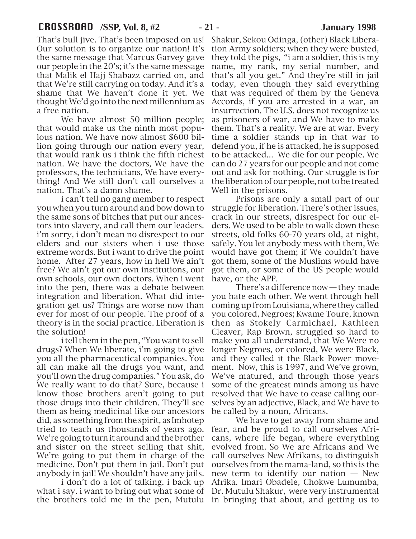That's bull jive. That's been imposed on us! Our solution is to organize our nation! It's the same message that Marcus Garvey gave our people in the 20's; it's the same message that Malik el Hajj Shabazz carried on, and that We're still carrying on today. And it's a shame that We haven't done it yet. We thought We'd go into the next millennium as a free nation.

We have almost 50 million people; that would make us the ninth most populous nation. We have now almost \$600 billion going through our nation every year, that would rank us i think the fifth richest nation. We have the doctors, We have the professors, the technicians, We have everything! And We still don't call ourselves a nation. That's a damn shame.

i can't tell no gang member to respect you when you turn around and bow down to the same sons of bitches that put our ancestors into slavery, and call them our leaders. i'm sorry, i don't mean no disrespect to our elders and our sisters when i use those extreme words. But i want to drive the point home. After 27 years, how in hell We ain't free? We ain't got our own institutions, our own schools, our own doctors. When i went into the pen, there was a debate between integration and liberation. What did integration get us? Things are worse now than ever for most of our people. The proof of a theory is in the social practice. Liberation is the solution!

i tell them in the pen, "You want to sell drugs? When We liberate, i'm going to give you all the pharmaceutical companies. You all can make all the drugs you want, and you'll own the drug companies." You ask, do We really want to do that? Sure, because i know those brothers aren't going to put those drugs into their children. They'll see them as being medicinal like our ancestors did, as something from the spirit, as Imhotep tried to teach us thousands of years ago. We're going to turn it around and the brother and sister on the street selling that shit, We're going to put them in charge of the medicine. Don't put them in jail. Don't put anybody in jail! We shouldn't have any jails.

i don't do a lot of talking. i back up what i say. i want to bring out what some of the brothers told me in the pen, Mutulu in bringing that about, and getting us to

Shakur, Sekou Odinga, (other) Black Liberation Army soldiers; when they were busted, they told the pigs, "i am a soldier, this is my name, my rank, my serial number, and that's all you get." And they're still in jail today, even though they said everything that was required of them by the Geneva Accords, if you are arrested in a war, an insurrection. The U.S. does not recognize us as prisoners of war, and We have to make them. That's a reality. We are at war. Every time a soldier stands up in that war to defend you, if he is attacked, he is supposed to be attacked... We die for our people. We can do 27 years for our people and not come out and ask for nothing. Our struggle is for the liberation of our people, not to be treated Well in the prisons.

Prisons are only a small part of our struggle for liberation. There's other issues, crack in our streets, disrespect for our elders. We used to be able to walk down these streets, old folks 60-70 years old, at night, safely. You let anybody mess with them, We would have got them; if We couldn't have got them, some of the Muslims would have got them, or some of the US people would have, or the APP.

There's a difference now — they made you hate each other. We went through hell coming up from Louisiana, where they called you colored, Negroes; Kwame Toure, known then as Stokely Carmichael, Kathleen Cleaver, Rap Brown, struggled so hard to make you all understand, that We Were no longer Negroes, or colored, We were Black, and they called it the Black Power movement. Now, this is 1997, and We've grown, We've matured, and through those years some of the greatest minds among us have resolved that We have to cease calling ourselves by an adjective, Black, and We have to be called by a noun, Africans.

We have to get away from shame and fear, and be proud to call ourselves Africans, where life began, where everything evolved from. So We are Africans and We call ourselves New Afrikans, to distinguish ourselves from the mama-land, so this is the new term to identify our nation — New Afrika. Imari Obadele, Chokwe Lumumba, Dr. Mutulu Shakur, were very instrumental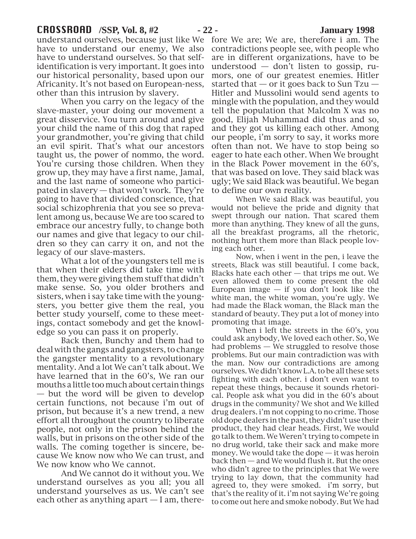## CROSSROAD **/SSP, Vol. 8, #2 - 22 - January 1998**

understand ourselves, because just like We fore We are; We are, therefore i am. The have to understand our enemy, We also have to understand ourselves. So that selfidentification is very important. It goes into our historical personality, based upon our Africanity. It's not based on European-ness, other than this intrusion by slavery.

When you carry on the legacy of the slave-master, your doing our movement a great disservice. You turn around and give your child the name of this dog that raped your grandmother, you're giving that child an evil spirit. That's what our ancestors taught us, the power of nommo, the word. You're cursing those children. When they grow up, they may have a first name, Jamal, and the last name of someone who participated in slavery — that won't work. They're going to have that divided conscience, that social schizophrenia that you see so prevalent among us, because We are too scared to embrace our ancestry fully, to change both our names and give that legacy to our children so they can carry it on, and not the legacy of our slave-masters.

What a lot of the youngsters tell me is that when their elders did take time with them, they were giving them stuff that didn't make sense. So, you older brothers and sisters, when i say take time with the youngsters, you better give them the real, you better study yourself, come to these meetings, contact somebody and get the knowledge so you can pass it on properly.

Back then, Bunchy and them had to deal with the gangs and gangsters, to change the gangster mentality to a revolutionary mentality. And a lot We can't talk about. We have learned that in the 60's, We ran our mouths a little too much about certain things — but the word will be given to develop certain functions, not because i'm out of prison, but because it's a new trend, a new effort all throughout the country to liberate people, not only in the prison behind the walls, but in prisons on the other side of the walls. The coming together is sincere, because We know now who We can trust, and We now know who We cannot.

And We cannot do it without you. We understand ourselves as you all; you all understand yourselves as us. We can't see each other as anything apart  $-$  I am, there-

contradictions people see, with people who are in different organizations, have to be understood  $-$  don't listen to gossip, rumors, one of our greatest enemies. Hitler started that  $-$  or it goes back to Sun Tzu  $-$ Hitler and Mussolini would send agents to mingle with the population, and they would tell the population that Malcolm X was no good, Elijah Muhammad did thus and so, and they got us killing each other. Among our people, i'm sorry to say, it works more often than not. We have to stop being so eager to hate each other. When We brought in the Black Power movement in the 60's, that was based on love. They said black was ugly; We said Black was beautiful. We began to define our own reality.

When We said Black was beautiful, you would not believe the pride and dignity that swept through our nation. That scared them more than anything. They knew of all the guns, all the breakfast programs, all the rhetoric, nothing hurt them more than Black people loving each other.

Now, when i went in the pen, i leave the streets, Black was still beautiful. I come back, Blacks hate each other  $-$  that trips me out. We even allowed them to come present the old European image  $-$  if you don't look like the white man, the white woman, you're ugly. We had made the Black woman, the Black man the standard of beauty. They put a lot of money into promoting that image.

When i left the streets in the 60's, you could ask anybody, We loved each other. So, We had problems — We struggled to resolve those problems. But our main contradiction was with the man. Now our contradictions are among ourselves. We didn't know L.A. to be all these sets fighting with each other. i don't even want to repeat these things, because it sounds rhetorical. People ask what you did in the 60's about drugs in the community? We shot and We killed drug dealers. i'm not copping to no crime. Those old dope dealers in the past, they didn't use their product, they had clear heads. First, We would go talk to them. We Weren't trying to compete in no drug world, take their sack and make more money. We would take the dope — it was heroin back then — and We would flush it. But the ones who didn't agree to the principles that We were trying to lay down, that the community had agreed to, they were smoked. i'm sorry, but that's the reality of it. i'm not saying We're going to come out here and smoke nobody. But We had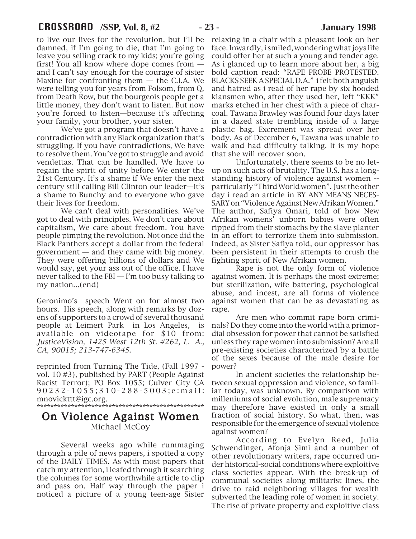### CROSSROAD **/SSP, Vol. 8, #2 - 23 - January 1998**

to live our lives for the revolution, but I'll be relaxing in a chair with a pleasant look on her damned, if I'm going to die, that I'm going to leave you selling crack to my kids; you're going first! You all know where dope comes from and I can't say enough for the courage of sister Maxine for confronting them  $-$  the C.I.A. We were telling you for years from Folsom, from Q, from Death Row, but the bourgeois people get a little money, they don't want to listen. But now you're forced to listen—because it's affecting your family, your brother, your sister.

We've got a program that doesn't have a contradiction with any Black organization that's struggling. If you have contradictions, We have to resolve them. You've got to struggle and avoid vendettas. That can be handled. We have to regain the spirit of unity before We enter the 21st Century. It's a shame if We enter the next century still calling Bill Clinton our leader—it's a shame to Bunchy and to everyone who gave their lives for freedom.

We can't deal with personalities. We've got to deal with principles. We don't care about capitalism, We care about freedom. You have people pimping the revolution. Not once did the Black Panthers accept a dollar from the federal  $g$ overnment  $-$  and they came with big money. They were offering billions of dollars and We would say, get your ass out of the office. I have never talked to the  $FBI - I'm$  too busy talking to my nation...(end)

Geronimo's speech Went on for almost two hours. His speech, along with remarks by dozens of supporters to a crowd of several thousand people at Leimert Park in Los Angeles, is available on videotape for \$10 from: JusticeVision, 1425 West 12th St. #262, L. A., CA, 90015; 213-747-6345.

reprinted from Turning The Tide, (Fall 1997 vol. 10 #3), published by PART (People Against Racist Terror); PO Box 1055; Culver City CA 90232-1055;310-288-5003;e:mail: mnovickttt@igc.org. \*\*\*\*\*\*\*\*\*\*\*\*\*\*\*\*\*\*\*\*\*\*\*\*\*\*\*\*\*\*\*\*\*\*\*\*\*\*\*\*\*\*\*\*\*\*\*\*\*

## On Violence Against Women Michael McCoy

Several weeks ago while rummaging through a pile of news papers, i spotted a copy of the DAILY TIMES. As with most papers that catch my attention, i leafed through it searching the columes for some worthwhile article to clip and pass on. Half way through the paper i noticed a picture of a young teen-age Sister

face. Inwardly, i smiled, wondering what joys life could offer her at such a young and tender age. As i glanced up to learn more about her, a big bold caption read: "RAPE PROBE PROTESTED. BLACKS SEEK A SPECIAL D.A." i felt both anguish and hatred as i read of her rape by six hooded klansmen who, after they used her, left "KKK" marks etched in her chest with a piece of charcoal. Tawana Brawley was found four days later in a dazed state trembling inside of a large plastic bag. Excrement was spread over her body. As of December 6, Tawana was unable to walk and had difficulty talking. It is my hope that she will recover soon.

Unfortunately, there seems to be no letup on such acts of brutality. The U.S. has a longstanding history of violence against women - particularly "Third World women". Just the other day i read an article in BY ANY MEANS NECES-SARY on "Violence Against New Afrikan Women." The author, Safiya Omari, told of how New Afrikan womens' unborn babies were often ripped from their stomachs by the slave planter in an effort to terrorize them into submission. Indeed, as Sister Safiya told, our oppressor has been persistent in their attempts to crush the fighting spirit of New Afrikan women.

Rape is not the only form of violence against women. It is perhaps the most extreme; but sterilization, wife battering, psychological abuse, and incest, are all forms of violence against women that can be as devastating as rape.

Are men who commit rape born criminals? Do they come into the world with a primordial obsession for power that cannot be satisfied unless they rape women into submission? Are all pre-existing societies characterized by a battle of the sexes because of the male desire for power?

In ancient societies the relationship between sexual oppression and violence, so familiar today, was unknown. By comparison with milleniums of social evolution, male supremacy may therefore have existed in only a small fraction of social history. So what, then, was responsible for the emergence of sexual violence against women?

According to Evelyn Reed, Julia Schwendinger, Afonja Simi and a number of other revolutionary writers, rape occurred under historical-social conditions where exploitive class societies appear. With the break-up of communal societies along militarist lines, the drive to raid neighboring villages for wealth subverted the leading role of women in society. The rise of private property and exploitive class